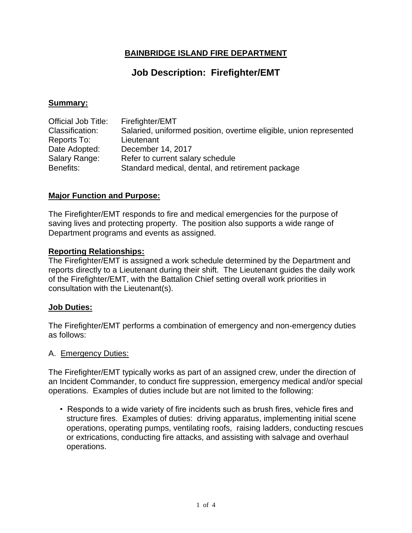## **BAINBRIDGE ISLAND FIRE DEPARTMENT**

# **Job Description: Firefighter/EMT**

## **Summary:**

| Official Job Title: | Firefighter/EMT                                                    |
|---------------------|--------------------------------------------------------------------|
| Classification:     | Salaried, uniformed position, overtime eligible, union represented |
| Reports To:         | Lieutenant                                                         |
| Date Adopted:       | December 14, 2017                                                  |
| Salary Range:       | Refer to current salary schedule                                   |
| Benefits:           | Standard medical, dental, and retirement package                   |

## **Major Function and Purpose:**

The Firefighter/EMT responds to fire and medical emergencies for the purpose of saving lives and protecting property. The position also supports a wide range of Department programs and events as assigned.

## **Reporting Relationships:**

The Firefighter/EMT is assigned a work schedule determined by the Department and reports directly to a Lieutenant during their shift. The Lieutenant guides the daily work of the Firefighter/EMT, with the Battalion Chief setting overall work priorities in consultation with the Lieutenant(s).

## **Job Duties:**

The Firefighter/EMT performs a combination of emergency and non-emergency duties as follows:

#### A. Emergency Duties:

The Firefighter/EMT typically works as part of an assigned crew, under the direction of an Incident Commander, to conduct fire suppression, emergency medical and/or special operations. Examples of duties include but are not limited to the following:

• Responds to a wide variety of fire incidents such as brush fires, vehicle fires and structure fires. Examples of duties: driving apparatus, implementing initial scene operations, operating pumps, ventilating roofs, raising ladders, conducting rescues or extrications, conducting fire attacks, and assisting with salvage and overhaul operations.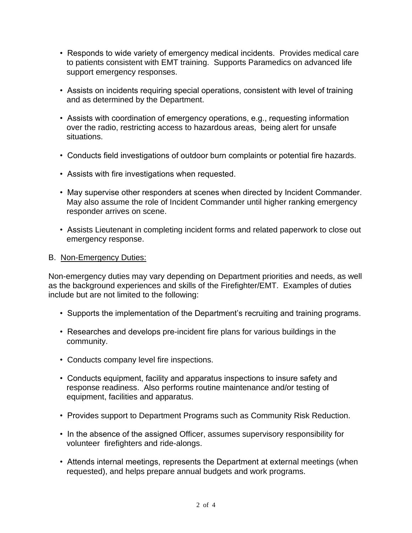- Responds to wide variety of emergency medical incidents. Provides medical care to patients consistent with EMT training. Supports Paramedics on advanced life support emergency responses.
- Assists on incidents requiring special operations, consistent with level of training and as determined by the Department.
- Assists with coordination of emergency operations, e.g., requesting information over the radio, restricting access to hazardous areas, being alert for unsafe situations.
- Conducts field investigations of outdoor burn complaints or potential fire hazards.
- Assists with fire investigations when requested.
- May supervise other responders at scenes when directed by Incident Commander. May also assume the role of Incident Commander until higher ranking emergency responder arrives on scene.
- Assists Lieutenant in completing incident forms and related paperwork to close out emergency response.

## B. Non-Emergency Duties:

Non-emergency duties may vary depending on Department priorities and needs, as well as the background experiences and skills of the Firefighter/EMT. Examples of duties include but are not limited to the following:

- Supports the implementation of the Department's recruiting and training programs.
- Researches and develops pre-incident fire plans for various buildings in the community.
- Conducts company level fire inspections.
- Conducts equipment, facility and apparatus inspections to insure safety and response readiness. Also performs routine maintenance and/or testing of equipment, facilities and apparatus.
- Provides support to Department Programs such as Community Risk Reduction.
- In the absence of the assigned Officer, assumes supervisory responsibility for volunteer firefighters and ride-alongs.
- Attends internal meetings, represents the Department at external meetings (when requested), and helps prepare annual budgets and work programs.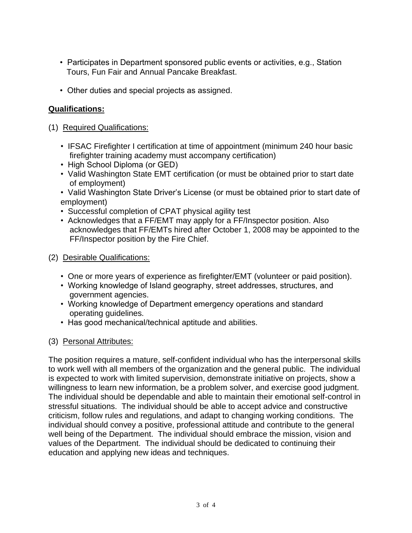- Participates in Department sponsored public events or activities, e.g., Station Tours, Fun Fair and Annual Pancake Breakfast.
- Other duties and special projects as assigned.

## **Qualifications:**

- (1) Required Qualifications:
	- IFSAC Firefighter I certification at time of appointment (minimum 240 hour basic firefighter training academy must accompany certification)
	- High School Diploma (or GED)
	- Valid Washington State EMT certification (or must be obtained prior to start date of employment)
	- Valid Washington State Driver's License (or must be obtained prior to start date of employment)
	- Successful completion of CPAT physical agility test
	- Acknowledges that a FF/EMT may apply for a FF/Inspector position. Also acknowledges that FF/EMTs hired after October 1, 2008 may be appointed to the FF/Inspector position by the Fire Chief.
- (2) Desirable Qualifications:
	- One or more years of experience as firefighter/EMT (volunteer or paid position).
	- Working knowledge of Island geography, street addresses, structures, and government agencies.
	- Working knowledge of Department emergency operations and standard operating guidelines.
	- Has good mechanical/technical aptitude and abilities.

## (3) Personal Attributes:

The position requires a mature, self-confident individual who has the interpersonal skills to work well with all members of the organization and the general public. The individual is expected to work with limited supervision, demonstrate initiative on projects, show a willingness to learn new information, be a problem solver, and exercise good judgment. The individual should be dependable and able to maintain their emotional self-control in stressful situations. The individual should be able to accept advice and constructive criticism, follow rules and regulations, and adapt to changing working conditions. The individual should convey a positive, professional attitude and contribute to the general well being of the Department. The individual should embrace the mission, vision and values of the Department. The individual should be dedicated to continuing their education and applying new ideas and techniques.